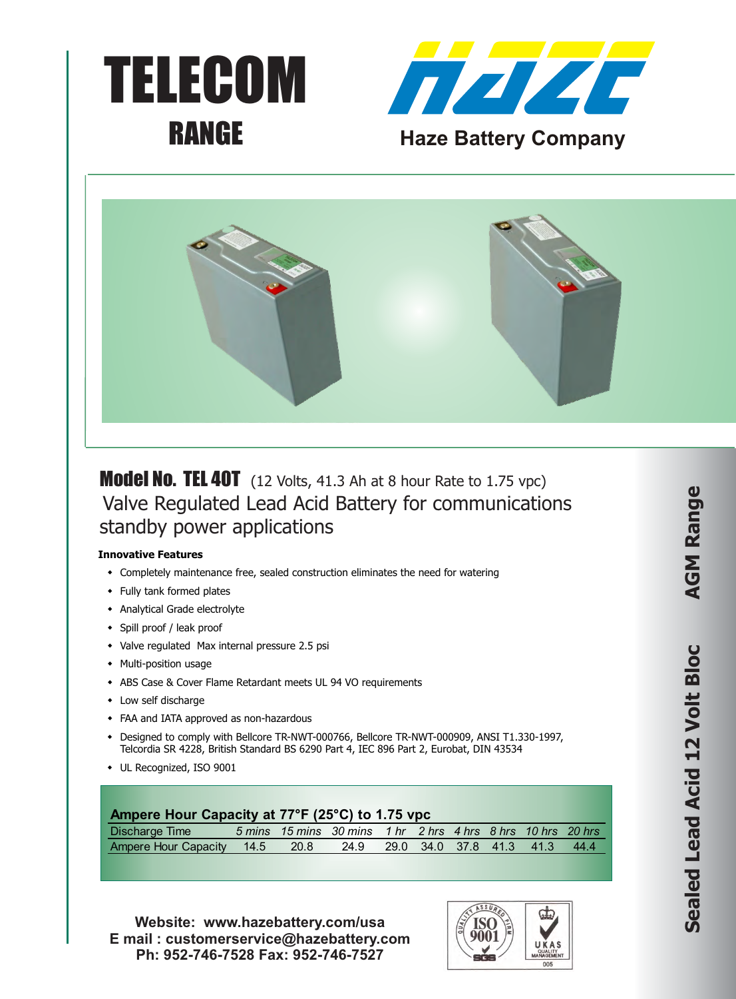





**Model No. TEL 40T** (12 Volts, 41.3 Ah at 8 hour Rate to 1.75 vpc) Valve Regulated Lead Acid Battery for communications standby power applications

#### **Innovative Features**

- Completely maintenance free, sealed construction eliminates the need for watering
- Fully tank formed plates
- Analytical Grade electrolyte
- Spill proof / leak proof
- Valve regulated Max internal pressure 2.5 psi
- Multi-position usage
- \* ABS Case & Cover Flame Retardant meets UL 94 VO requirements
- $\cdot$  Low self discharge
- FAA and IATA approved as non-hazardous
- \* Designed to comply with Bellcore TR-NWT-000766, Bellcore TR-NWT-000909, ANSI T1.330-1997, Telcordia SR 4228, British Standard BS 6290 Part 4, IEC 896 Part 2, Eurobat, DIN 43534
- UL Recognized, ISO 9001

# **Ampere Hour Capacity at 77°F (25°C) to 1.75 vpc**

| Discharge Time                                                    |  | $-5$ mins $-15$ mins $-30$ mins $-1$ hr $-2$ hrs $-4$ hrs $-8$ hrs $-10$ hrs $-20$ hrs |  |  |  |
|-------------------------------------------------------------------|--|----------------------------------------------------------------------------------------|--|--|--|
| Ampere Hour Capacity 14.5 20.8 24.9 29.0 34.0 37.8 41.3 41.3 44.4 |  |                                                                                        |  |  |  |

**Website: www.hazebattery.com/usa E mail : customerservice@hazebattery.com Ph: 952-746-7528 Fax: 952-746-7527**